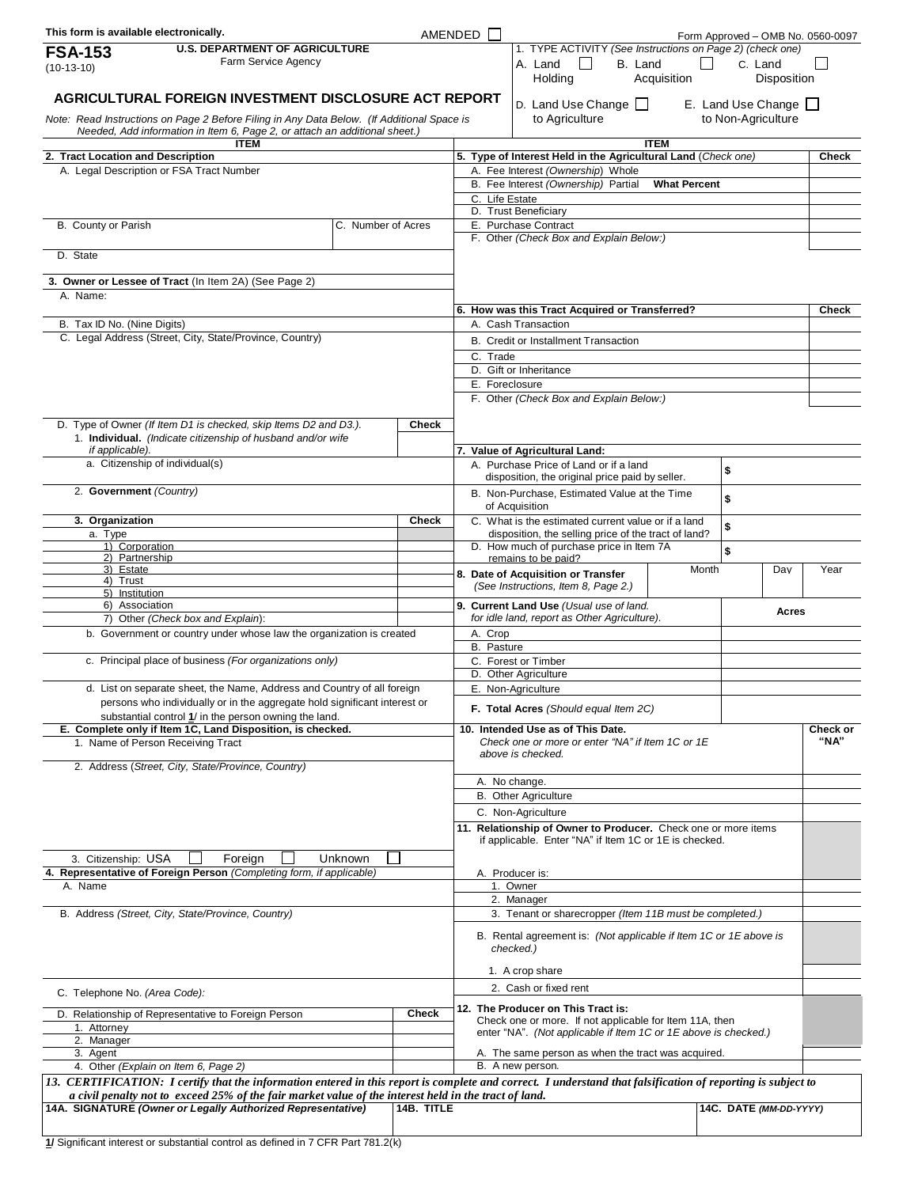| This form is available electronically.                                                                                                                                                                                                                                | AMENDED |              |                                                                                               |                                                                                                    |             |                           |                        | Form Approved - OMB No. 0560-0097 |  |
|-----------------------------------------------------------------------------------------------------------------------------------------------------------------------------------------------------------------------------------------------------------------------|---------|--------------|-----------------------------------------------------------------------------------------------|----------------------------------------------------------------------------------------------------|-------------|---------------------------|------------------------|-----------------------------------|--|
| <b>U.S. DEPARTMENT OF AGRICULTURE</b><br><b>FSA-153</b>                                                                                                                                                                                                               |         |              |                                                                                               | 1. TYPE ACTIVITY (See Instructions on Page 2) (check one)                                          |             |                           |                        |                                   |  |
| Farm Service Agency<br>$(10-13-10)$                                                                                                                                                                                                                                   |         |              |                                                                                               | A. Land<br>$\mathbf{I}$<br>B. Land<br>Holding                                                      | Acquisition |                           | C. Land<br>Disposition |                                   |  |
|                                                                                                                                                                                                                                                                       |         |              |                                                                                               |                                                                                                    |             |                           |                        |                                   |  |
| AGRICULTURAL FOREIGN INVESTMENT DISCLOSURE ACT REPORT                                                                                                                                                                                                                 |         |              |                                                                                               | D. Land Use Change                                                                                 |             |                           | E. Land Use Change     |                                   |  |
| Note: Read Instructions on Page 2 Before Filing in Any Data Below. (If Additional Space is<br>Needed, Add information in Item 6, Page 2, or attach an additional sheet.)                                                                                              |         |              |                                                                                               | to Agriculture                                                                                     |             |                           | to Non-Agriculture     |                                   |  |
| <b>ITEM</b>                                                                                                                                                                                                                                                           |         |              |                                                                                               |                                                                                                    | <b>ITEM</b> |                           |                        |                                   |  |
| 2. Tract Location and Description<br>A. Legal Description or FSA Tract Number                                                                                                                                                                                         |         |              |                                                                                               | 5. Type of Interest Held in the Agricultural Land (Check one)<br>A. Fee Interest (Ownership) Whole |             |                           |                        | Check                             |  |
|                                                                                                                                                                                                                                                                       |         |              | B. Fee Interest (Ownership) Partial<br><b>What Percent</b>                                    |                                                                                                    |             |                           |                        |                                   |  |
|                                                                                                                                                                                                                                                                       |         |              | C. Life Estate                                                                                |                                                                                                    |             |                           |                        |                                   |  |
| C. Number of Acres                                                                                                                                                                                                                                                    |         |              | D. Trust Beneficiary<br>E. Purchase Contract                                                  |                                                                                                    |             |                           |                        |                                   |  |
| B. County or Parish                                                                                                                                                                                                                                                   |         |              |                                                                                               | F. Other (Check Box and Explain Below:)                                                            |             |                           |                        |                                   |  |
| D. State                                                                                                                                                                                                                                                              |         |              |                                                                                               |                                                                                                    |             |                           |                        |                                   |  |
|                                                                                                                                                                                                                                                                       |         |              |                                                                                               |                                                                                                    |             |                           |                        |                                   |  |
| 3. Owner or Lessee of Tract (In Item 2A) (See Page 2)<br>A. Name:                                                                                                                                                                                                     |         |              |                                                                                               |                                                                                                    |             |                           |                        |                                   |  |
|                                                                                                                                                                                                                                                                       |         |              |                                                                                               | 6. How was this Tract Acquired or Transferred?                                                     |             |                           |                        | <b>Check</b>                      |  |
| B. Tax ID No. (Nine Digits)                                                                                                                                                                                                                                           |         |              | A. Cash Transaction                                                                           |                                                                                                    |             |                           |                        |                                   |  |
| C. Legal Address (Street, City, State/Province, Country)                                                                                                                                                                                                              |         |              | B. Credit or Installment Transaction                                                          |                                                                                                    |             |                           |                        |                                   |  |
|                                                                                                                                                                                                                                                                       |         |              | C. Trade                                                                                      |                                                                                                    |             |                           |                        |                                   |  |
|                                                                                                                                                                                                                                                                       |         |              |                                                                                               | D. Gift or Inheritance                                                                             |             |                           |                        |                                   |  |
|                                                                                                                                                                                                                                                                       |         |              | E. Foreclosure<br>F. Other (Check Box and Explain Below:)                                     |                                                                                                    |             |                           |                        |                                   |  |
|                                                                                                                                                                                                                                                                       |         |              |                                                                                               |                                                                                                    |             |                           |                        |                                   |  |
| D. Type of Owner (If Item D1 is checked, skip Items D2 and D3.).<br>1. Individual. (Indicate citizenship of husband and/or wife                                                                                                                                       |         | <b>Check</b> |                                                                                               |                                                                                                    |             |                           |                        |                                   |  |
| if applicable).                                                                                                                                                                                                                                                       |         |              |                                                                                               | 7. Value of Agricultural Land:                                                                     |             |                           |                        |                                   |  |
| a. Citizenship of individual(s)                                                                                                                                                                                                                                       |         |              |                                                                                               | A. Purchase Price of Land or if a land                                                             |             | \$                        |                        |                                   |  |
| 2. Government (Country)                                                                                                                                                                                                                                               |         |              |                                                                                               | disposition, the original price paid by seller.                                                    |             |                           |                        |                                   |  |
|                                                                                                                                                                                                                                                                       |         |              |                                                                                               | B. Non-Purchase, Estimated Value at the Time<br>of Acquisition                                     |             | $\boldsymbol{\mathsf{s}}$ |                        |                                   |  |
| 3. Organization                                                                                                                                                                                                                                                       |         | Check        | C. What is the estimated current value or if a land<br>\$                                     |                                                                                                    |             |                           |                        |                                   |  |
| a. Type                                                                                                                                                                                                                                                               |         |              |                                                                                               | disposition, the selling price of the tract of land?                                               |             |                           |                        |                                   |  |
| 1) Corporation<br>2) Partnership                                                                                                                                                                                                                                      |         |              |                                                                                               | D. How much of purchase price in Item 7A<br>remains to be paid?                                    |             | \$                        |                        |                                   |  |
| 3) Estate<br>4) Trust                                                                                                                                                                                                                                                 |         |              |                                                                                               | 8. Date of Acquisition or Transfer                                                                 | Month       |                           | Day                    | Year                              |  |
| 5) Institution                                                                                                                                                                                                                                                        |         |              |                                                                                               | (See Instructions, Item 8, Page 2.)                                                                |             |                           |                        |                                   |  |
| 6) Association                                                                                                                                                                                                                                                        |         |              |                                                                                               | 9. Current Land Use (Usual use of land.                                                            |             |                           | Acres                  |                                   |  |
| 7) Other (Check box and Explain):<br>b. Government or country under whose law the organization is created                                                                                                                                                             |         |              | for idle land, report as Other Agriculture).<br>A. Crop                                       |                                                                                                    |             |                           |                        |                                   |  |
|                                                                                                                                                                                                                                                                       |         |              | B. Pasture                                                                                    |                                                                                                    |             |                           |                        |                                   |  |
| c. Principal place of business (For organizations only)                                                                                                                                                                                                               |         |              | C. Forest or Timber                                                                           |                                                                                                    |             |                           |                        |                                   |  |
|                                                                                                                                                                                                                                                                       |         |              |                                                                                               | D. Other Agriculture<br>E. Non-Agriculture                                                         |             |                           |                        |                                   |  |
| d. List on separate sheet, the Name, Address and Country of all foreign<br>persons who individually or in the aggregate hold significant interest or                                                                                                                  |         |              |                                                                                               |                                                                                                    |             |                           |                        |                                   |  |
| substantial control 1/ in the person owning the land.                                                                                                                                                                                                                 |         |              |                                                                                               | F. Total Acres (Should equal Item 2C)                                                              |             |                           |                        |                                   |  |
| E. Complete only if Item 1C, Land Disposition, is checked.                                                                                                                                                                                                            |         |              | 10. Intended Use as of This Date.<br>Check one or more or enter "NA" if Item 1C or 1E         |                                                                                                    |             |                           |                        | Check or<br>"NA"                  |  |
| 1. Name of Person Receiving Tract                                                                                                                                                                                                                                     |         |              | above is checked.                                                                             |                                                                                                    |             |                           |                        |                                   |  |
| 2. Address (Street, City, State/Province, Country)                                                                                                                                                                                                                    |         |              |                                                                                               |                                                                                                    |             |                           |                        |                                   |  |
|                                                                                                                                                                                                                                                                       |         |              | A. No change.                                                                                 |                                                                                                    |             |                           |                        |                                   |  |
|                                                                                                                                                                                                                                                                       |         |              | <b>B.</b> Other Agriculture<br>C. Non-Agriculture                                             |                                                                                                    |             |                           |                        |                                   |  |
|                                                                                                                                                                                                                                                                       |         |              | 11. Relationship of Owner to Producer. Check one or more items                                |                                                                                                    |             |                           |                        |                                   |  |
|                                                                                                                                                                                                                                                                       |         |              | if applicable. Enter "NA" if Item 1C or 1E is checked.                                        |                                                                                                    |             |                           |                        |                                   |  |
| 3. Citizenship: USA<br>Foreign<br>Unknown                                                                                                                                                                                                                             |         |              |                                                                                               |                                                                                                    |             |                           |                        |                                   |  |
| 4. Representative of Foreign Person (Completing form, if applicable)                                                                                                                                                                                                  |         |              | A. Producer is:<br>1. Owner                                                                   |                                                                                                    |             |                           |                        |                                   |  |
| A. Name                                                                                                                                                                                                                                                               |         |              | 2. Manager                                                                                    |                                                                                                    |             |                           |                        |                                   |  |
| B. Address (Street, City, State/Province, Country)                                                                                                                                                                                                                    |         |              | 3. Tenant or sharecropper (Item 11B must be completed.)                                       |                                                                                                    |             |                           |                        |                                   |  |
|                                                                                                                                                                                                                                                                       |         |              |                                                                                               | B. Rental agreement is: (Not applicable if Item 1C or 1E above is                                  |             |                           |                        |                                   |  |
|                                                                                                                                                                                                                                                                       |         |              | checked.)                                                                                     |                                                                                                    |             |                           |                        |                                   |  |
|                                                                                                                                                                                                                                                                       |         |              | 1. A crop share                                                                               |                                                                                                    |             |                           |                        |                                   |  |
|                                                                                                                                                                                                                                                                       |         |              | 2. Cash or fixed rent                                                                         |                                                                                                    |             |                           |                        |                                   |  |
| C. Telephone No. (Area Code):                                                                                                                                                                                                                                         |         |              |                                                                                               |                                                                                                    |             |                           |                        |                                   |  |
| D. Relationship of Representative to Foreign Person                                                                                                                                                                                                                   |         | <b>Check</b> | 12. The Producer on This Tract is:<br>Check one or more. If not applicable for Item 11A, then |                                                                                                    |             |                           |                        |                                   |  |
| 1. Attorney<br>2. Manager                                                                                                                                                                                                                                             |         |              |                                                                                               | enter "NA". (Not applicable if Item 1C or 1E above is checked.)                                    |             |                           |                        |                                   |  |
| 3. Agent                                                                                                                                                                                                                                                              |         |              |                                                                                               | A. The same person as when the tract was acquired.                                                 |             |                           |                        |                                   |  |
| 4. Other (Explain on Item 6, Page 2)                                                                                                                                                                                                                                  |         |              |                                                                                               | B. A new person.                                                                                   |             |                           |                        |                                   |  |
| 13. CERTIFICATION: I certify that the information entered in this report is complete and correct. I understand that falsification of reporting is subject to<br>a civil penalty not to exceed 25% of the fair market value of the interest held in the tract of land. |         |              |                                                                                               |                                                                                                    |             |                           |                        |                                   |  |
| 14A. SIGNATURE (Owner or Legally Authorized Representative)                                                                                                                                                                                                           |         | 14B. TITLE   |                                                                                               |                                                                                                    |             |                           | 14C. DATE (MM-DD-YYYY) |                                   |  |
|                                                                                                                                                                                                                                                                       |         |              |                                                                                               |                                                                                                    |             |                           |                        |                                   |  |